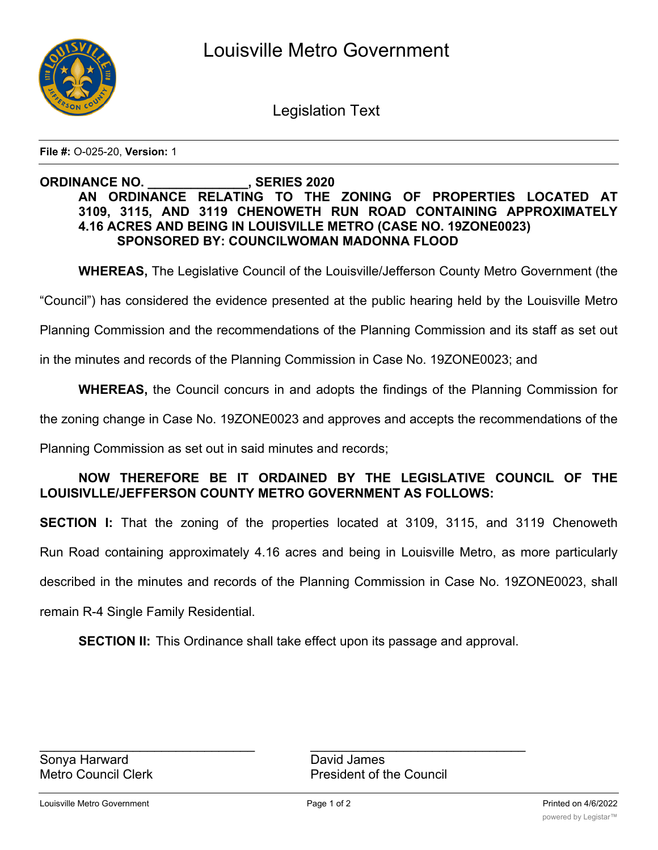

Legislation Text

**File #:** O-025-20, **Version:** 1

## **ORDINANCE NO. \_\_\_\_\_\_\_\_\_\_\_\_\_\_, SERIES 2020 AN ORDINANCE RELATING TO THE ZONING OF PROPERTIES LOCATED AT 3109, 3115, AND 3119 CHENOWETH RUN ROAD CONTAINING APPROXIMATELY 4.16 ACRES AND BEING IN LOUISVILLE METRO (CASE NO. 19ZONE0023) SPONSORED BY: COUNCILWOMAN MADONNA FLOOD**

**WHEREAS,** The Legislative Council of the Louisville/Jefferson County Metro Government (the

"Council") has considered the evidence presented at the public hearing held by the Louisville Metro

Planning Commission and the recommendations of the Planning Commission and its staff as set out

in the minutes and records of the Planning Commission in Case No. 19ZONE0023; and

**WHEREAS,** the Council concurs in and adopts the findings of the Planning Commission for

the zoning change in Case No. 19ZONE0023 and approves and accepts the recommendations of the

Planning Commission as set out in said minutes and records;

## **NOW THEREFORE BE IT ORDAINED BY THE LEGISLATIVE COUNCIL OF THE LOUISIVLLE/JEFFERSON COUNTY METRO GOVERNMENT AS FOLLOWS:**

**SECTION I:** That the zoning of the properties located at 3109, 3115, and 3119 Chenoweth Run Road containing approximately 4.16 acres and being in Louisville Metro, as more particularly described in the minutes and records of the Planning Commission in Case No. 19ZONE0023, shall remain R-4 Single Family Residential.

**SECTION II:** This Ordinance shall take effect upon its passage and approval.

 $\mathcal{L}_\text{max}$  , and the contribution of the contribution of the contribution of the contribution of the contribution of the contribution of the contribution of the contribution of the contribution of the contribution of t Metro Council Clerk **President of the Council**